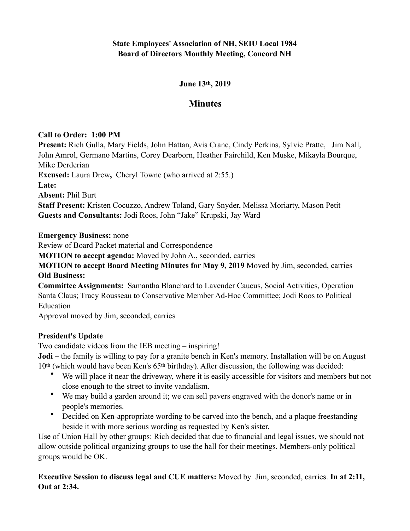# **State Employees' Association of NH, SEIU Local 1984 Board of Directors Monthly Meeting, Concord NH**

#### **June 13th, 2019**

# **Minutes**

#### **Call to Order: 1:00 PM**

**Present:** Rich Gulla, Mary Fields, John Hattan, Avis Crane, Cindy Perkins, Sylvie Pratte, Jim Nall, John Amrol, Germano Martins, Corey Dearborn, Heather Fairchild, Ken Muske, Mikayla Bourque, Mike Derderian

**Excused:** Laura Drew**,** Cheryl Towne (who arrived at 2:55.)

**Late:** 

**Absent:** Phil Burt

**Staff Present:** Kristen Cocuzzo, Andrew Toland, Gary Snyder, Melissa Moriarty, Mason Petit **Guests and Consultants:** Jodi Roos, John "Jake" Krupski, Jay Ward

**Emergency Business:** none

Review of Board Packet material and Correspondence

**MOTION to accept agenda:** Moved by John A., seconded, carries

**MOTION to accept Board Meeting Minutes for May 9, 2019** Moved by Jim, seconded, carries **Old Business:** 

**Committee Assignments:** Samantha Blanchard to Lavender Caucus, Social Activities, Operation Santa Claus; Tracy Rousseau to Conservative Member Ad-Hoc Committee; Jodi Roos to Political Education

Approval moved by Jim, seconded, carries

## **President's Update**

Two candidate videos from the IEB meeting – inspiring!

**Jodi** – the family is willing to pay for a granite bench in Ken's memory. Installation will be on August 10th (which would have been Ken's 65th birthday). After discussion, the following was decided:

- We will place it near the driveway, where it is easily accessible for visitors and members but not close enough to the street to invite vandalism.
- We may build a garden around it; we can sell pavers engraved with the donor's name or in people's memories.
- Decided on Ken-appropriate wording to be carved into the bench, and a plaque freestanding beside it with more serious wording as requested by Ken's sister.

Use of Union Hall by other groups: Rich decided that due to financial and legal issues, we should not allow outside political organizing groups to use the hall for their meetings. Members-only political groups would be OK.

**Executive Session to discuss legal and CUE matters:** Moved by Jim, seconded, carries. **In at 2:11, Out at 2:34.**